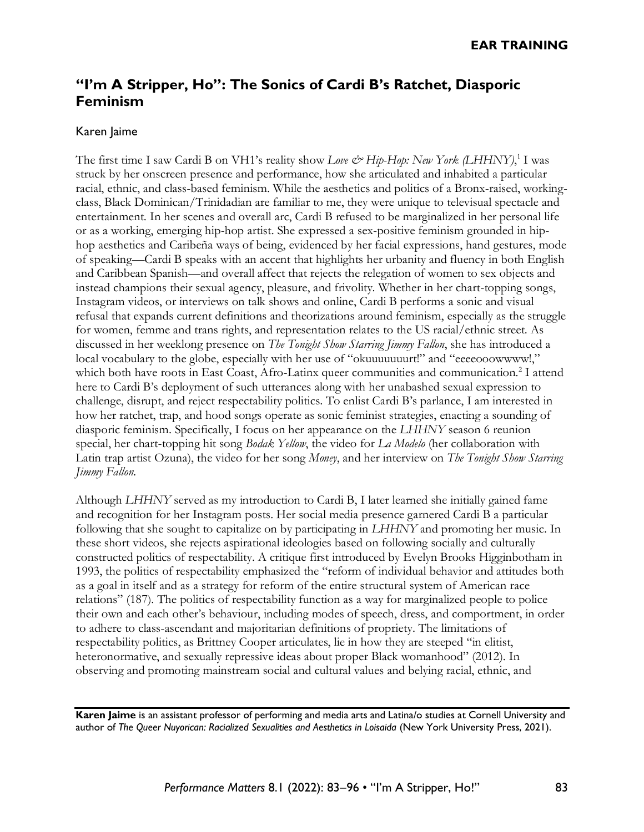# **"I'm A Stripper, Ho": The Sonics of Cardi B's Ratchet, Diasporic Feminism**

#### Karen Jaime

The first time I saw Cardi B on VH1's reality show *Love & Hip-Hop: New York (LHHNY)*, 1 I was struck by her onscreen presence and performance, how she articulated and inhabited a particular racial, ethnic, and class-based feminism. While the aesthetics and politics of a Bronx-raised, workingclass, Black Dominican/Trinidadian are familiar to me, they were unique to televisual spectacle and entertainment. In her scenes and overall arc, Cardi B refused to be marginalized in her personal life or as a working, emerging hip-hop artist. She expressed a sex-positive feminism grounded in hiphop aesthetics and Caribeña ways of being, evidenced by her facial expressions, hand gestures, mode of speaking—Cardi B speaks with an accent that highlights her urbanity and fluency in both English and Caribbean Spanish—and overall affect that rejects the relegation of women to sex objects and instead champions their sexual agency, pleasure, and frivolity. Whether in her chart-topping songs, Instagram videos, or interviews on talk shows and online, Cardi B performs a sonic and visual refusal that expands current definitions and theorizations around feminism, especially as the struggle for women, femme and trans rights, and representation relates to the US racial/ethnic street. As discussed in her weeklong presence on *The Tonight Show Starring Jimmy Fallon*, she has introduced a local vocabulary to the globe, especially with her use of "okuuuuuuuurt!" and "eeeeooowwww!," which both have roots in East Coast, Afro-Latinx queer communities and communication.<sup>2</sup> I attend here to Cardi B's deployment of such utterances along with her unabashed sexual expression to challenge, disrupt, and reject respectability politics. To enlist Cardi B's parlance, I am interested in how her ratchet, trap, and hood songs operate as sonic feminist strategies, enacting a sounding of diasporic feminism. Specifically, I focus on her appearance on the *LHHNY* season 6 reunion special, her chart-topping hit song *Bodak Yellow*, the video for *La Modelo* (her collaboration with Latin trap artist Ozuna), the video for her song *Money*, and her interview on *The Tonight Show Starring Jimmy Fallon.*

Although *LHHNY* served as my introduction to Cardi B, I later learned she initially gained fame and recognition for her Instagram posts. Her social media presence garnered Cardi B a particular following that she sought to capitalize on by participating in *LHHNY* and promoting her music. In these short videos, she rejects aspirational ideologies based on following socially and culturally constructed politics of respectability. A critique first introduced by Evelyn Brooks Higginbotham in 1993, the politics of respectability emphasized the "reform of individual behavior and attitudes both as a goal in itself and as a strategy for reform of the entire structural system of American race relations" (187). The politics of respectability function as a way for marginalized people to police their own and each other's behaviour, including modes of speech, dress, and comportment, in order to adhere to class-ascendant and majoritarian definitions of propriety. The limitations of respectability politics, as Brittney Cooper articulates, lie in how they are steeped "in elitist, heteronormative, and sexually repressive ideas about proper Black womanhood" (2012). In observing and promoting mainstream social and cultural values and belying racial, ethnic, and

**Karen Jaime** is an assistant professor of performing and media arts and Latina/o studies at Cornell University and author of *The Queer Nuyorican: Racialized Sexualities and Aesthetics in Loisaida* (New York University Press, 2021).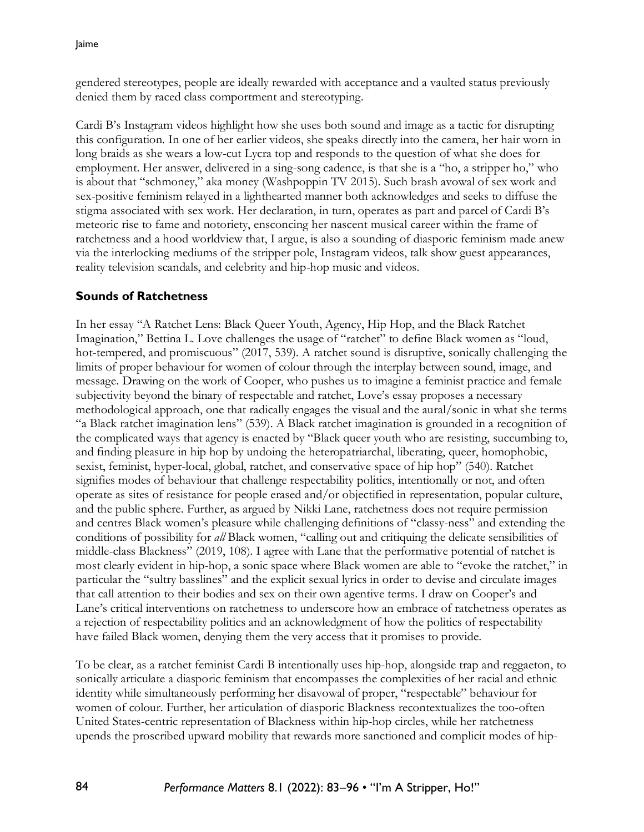gendered stereotypes, people are ideally rewarded with acceptance and a vaulted status previously denied them by raced class comportment and stereotyping.

Cardi B's Instagram videos highlight how she uses both sound and image as a tactic for disrupting this configuration. In one of her earlier videos, she speaks directly into the camera, her hair worn in long braids as she wears a low-cut Lycra top and responds to the question of what she does for employment. Her answer, delivered in a sing-song cadence, is that she is a "ho, a stripper ho," who is about that "schmoney," aka money (Washpoppin TV 2015). Such brash avowal of sex work and sex-positive feminism relayed in a lighthearted manner both acknowledges and seeks to diffuse the stigma associated with sex work. Her declaration, in turn, operates as part and parcel of Cardi B's meteoric rise to fame and notoriety, ensconcing her nascent musical career within the frame of ratchetness and a hood worldview that, I argue, is also a sounding of diasporic feminism made anew via the interlocking mediums of the stripper pole, Instagram videos, talk show guest appearances, reality television scandals, and celebrity and hip-hop music and videos.

## **Sounds of Ratchetness**

In her essay "A Ratchet Lens: Black Queer Youth, Agency, Hip Hop, and the Black Ratchet Imagination," Bettina L. Love challenges the usage of "ratchet" to define Black women as "loud, hot-tempered, and promiscuous" (2017, 539). A ratchet sound is disruptive, sonically challenging the limits of proper behaviour for women of colour through the interplay between sound, image, and message. Drawing on the work of Cooper, who pushes us to imagine a feminist practice and female subjectivity beyond the binary of respectable and ratchet, Love's essay proposes a necessary methodological approach, one that radically engages the visual and the aural/sonic in what she terms "a Black ratchet imagination lens" (539). A Black ratchet imagination is grounded in a recognition of the complicated ways that agency is enacted by "Black queer youth who are resisting, succumbing to, and finding pleasure in hip hop by undoing the heteropatriarchal, liberating, queer, homophobic, sexist, feminist, hyper-local, global, ratchet, and conservative space of hip hop" (540). Ratchet signifies modes of behaviour that challenge respectability politics, intentionally or not, and often operate as sites of resistance for people erased and/or objectified in representation, popular culture, and the public sphere. Further, as argued by Nikki Lane, ratchetness does not require permission and centres Black women's pleasure while challenging definitions of "classy-ness" and extending the conditions of possibility for *all* Black women, "calling out and critiquing the delicate sensibilities of middle-class Blackness" (2019, 108). I agree with Lane that the performative potential of ratchet is most clearly evident in hip-hop, a sonic space where Black women are able to "evoke the ratchet," in particular the "sultry basslines" and the explicit sexual lyrics in order to devise and circulate images that call attention to their bodies and sex on their own agentive terms. I draw on Cooper's and Lane's critical interventions on ratchetness to underscore how an embrace of ratchetness operates as a rejection of respectability politics and an acknowledgment of how the politics of respectability have failed Black women, denying them the very access that it promises to provide.

To be clear, as a ratchet feminist Cardi B intentionally uses hip-hop, alongside trap and reggaeton, to sonically articulate a diasporic feminism that encompasses the complexities of her racial and ethnic identity while simultaneously performing her disavowal of proper, "respectable" behaviour for women of colour. Further, her articulation of diasporic Blackness recontextualizes the too-often United States-centric representation of Blackness within hip-hop circles, while her ratchetness upends the proscribed upward mobility that rewards more sanctioned and complicit modes of hip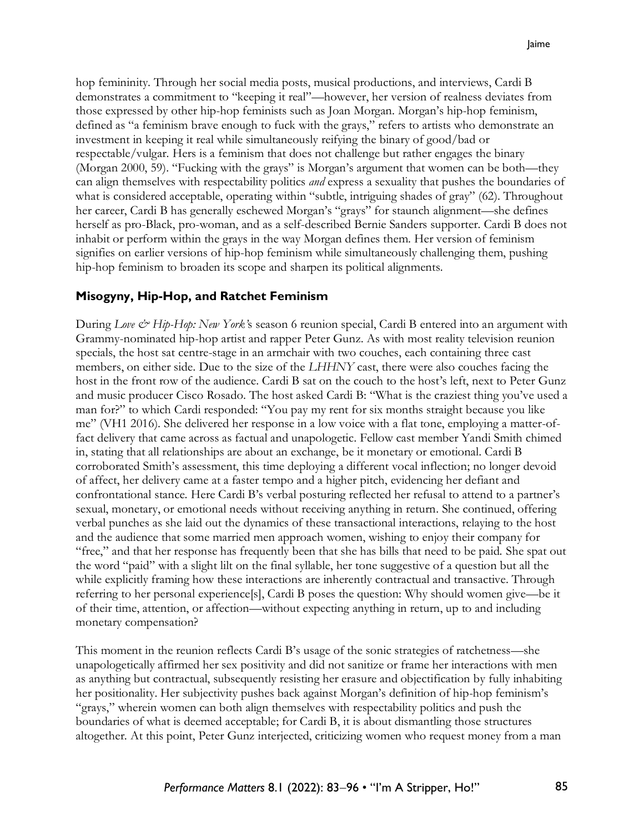hop femininity. Through her social media posts, musical productions, and interviews, Cardi B demonstrates a commitment to "keeping it real"—however, her version of realness deviates from those expressed by other hip-hop feminists such as Joan Morgan. Morgan's hip-hop feminism, defined as "a feminism brave enough to fuck with the grays," refers to artists who demonstrate an investment in keeping it real while simultaneously reifying the binary of good/bad or respectable/vulgar. Hers is a feminism that does not challenge but rather engages the binary (Morgan 2000, 59). "Fucking with the grays" is Morgan's argument that women can be both—they can align themselves with respectability politics *and* express a sexuality that pushes the boundaries of what is considered acceptable, operating within "subtle, intriguing shades of gray" (62). Throughout her career, Cardi B has generally eschewed Morgan's "grays" for staunch alignment—she defines herself as pro-Black, pro-woman, and as a self-described Bernie Sanders supporter. Cardi B does not inhabit or perform within the grays in the way Morgan defines them. Her version of feminism signifies on earlier versions of hip-hop feminism while simultaneously challenging them, pushing hip-hop feminism to broaden its scope and sharpen its political alignments.

#### **Misogyny, Hip-Hop, and Ratchet Feminism**

During *Love & Hip-Hop: New York'*s season 6 reunion special, Cardi B entered into an argument with Grammy-nominated hip-hop artist and rapper Peter Gunz. As with most reality television reunion specials, the host sat centre-stage in an armchair with two couches, each containing three cast members, on either side. Due to the size of the *LHHNY* cast, there were also couches facing the host in the front row of the audience. Cardi B sat on the couch to the host's left, next to Peter Gunz and music producer Cisco Rosado. The host asked Cardi B: "What is the craziest thing you've used a man for?" to which Cardi responded: "You pay my rent for six months straight because you like me" (VH1 2016). She delivered her response in a low voice with a flat tone, employing a matter-offact delivery that came across as factual and unapologetic. Fellow cast member Yandi Smith chimed in, stating that all relationships are about an exchange, be it monetary or emotional. Cardi B corroborated Smith's assessment, this time deploying a different vocal inflection; no longer devoid of affect, her delivery came at a faster tempo and a higher pitch, evidencing her defiant and confrontational stance. Here Cardi B's verbal posturing reflected her refusal to attend to a partner's sexual, monetary, or emotional needs without receiving anything in return. She continued, offering verbal punches as she laid out the dynamics of these transactional interactions, relaying to the host and the audience that some married men approach women, wishing to enjoy their company for "free," and that her response has frequently been that she has bills that need to be paid. She spat out the word "paid" with a slight lilt on the final syllable, her tone suggestive of a question but all the while explicitly framing how these interactions are inherently contractual and transactive. Through referring to her personal experience[s], Cardi B poses the question: Why should women give—be it of their time, attention, or affection—without expecting anything in return, up to and including monetary compensation?

This moment in the reunion reflects Cardi B's usage of the sonic strategies of ratchetness—she unapologetically affirmed her sex positivity and did not sanitize or frame her interactions with men as anything but contractual, subsequently resisting her erasure and objectification by fully inhabiting her positionality. Her subjectivity pushes back against Morgan's definition of hip-hop feminism's "grays," wherein women can both align themselves with respectability politics and push the boundaries of what is deemed acceptable; for Cardi B, it is about dismantling those structures altogether. At this point, Peter Gunz interjected, criticizing women who request money from a man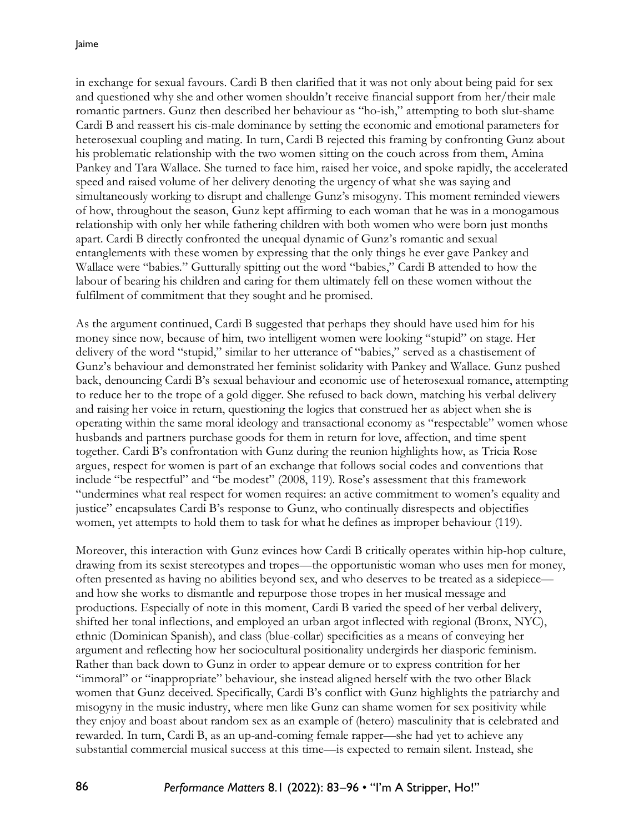Jaime

in exchange for sexual favours. Cardi B then clarified that it was not only about being paid for sex and questioned why she and other women shouldn't receive financial support from her/their male romantic partners. Gunz then described her behaviour as "ho-ish," attempting to both slut-shame Cardi B and reassert his cis-male dominance by setting the economic and emotional parameters for heterosexual coupling and mating. In turn, Cardi B rejected this framing by confronting Gunz about his problematic relationship with the two women sitting on the couch across from them, Amina Pankey and Tara Wallace. She turned to face him, raised her voice, and spoke rapidly, the accelerated speed and raised volume of her delivery denoting the urgency of what she was saying and simultaneously working to disrupt and challenge Gunz's misogyny. This moment reminded viewers of how, throughout the season, Gunz kept affirming to each woman that he was in a monogamous relationship with only her while fathering children with both women who were born just months apart. Cardi B directly confronted the unequal dynamic of Gunz's romantic and sexual entanglements with these women by expressing that the only things he ever gave Pankey and Wallace were "babies." Gutturally spitting out the word "babies," Cardi B attended to how the labour of bearing his children and caring for them ultimately fell on these women without the fulfilment of commitment that they sought and he promised.

As the argument continued, Cardi B suggested that perhaps they should have used him for his money since now, because of him, two intelligent women were looking "stupid" on stage. Her delivery of the word "stupid," similar to her utterance of "babies," served as a chastisement of Gunz's behaviour and demonstrated her feminist solidarity with Pankey and Wallace. Gunz pushed back, denouncing Cardi B's sexual behaviour and economic use of heterosexual romance, attempting to reduce her to the trope of a gold digger. She refused to back down, matching his verbal delivery and raising her voice in return, questioning the logics that construed her as abject when she is operating within the same moral ideology and transactional economy as "respectable" women whose husbands and partners purchase goods for them in return for love, affection, and time spent together. Cardi B's confrontation with Gunz during the reunion highlights how, as Tricia Rose argues, respect for women is part of an exchange that follows social codes and conventions that include "be respectful" and "be modest" (2008, 119). Rose's assessment that this framework "undermines what real respect for women requires: an active commitment to women's equality and justice" encapsulates Cardi B's response to Gunz, who continually disrespects and objectifies women, yet attempts to hold them to task for what he defines as improper behaviour (119).

Moreover, this interaction with Gunz evinces how Cardi B critically operates within hip-hop culture, drawing from its sexist stereotypes and tropes—the opportunistic woman who uses men for money, often presented as having no abilities beyond sex, and who deserves to be treated as a sidepiece and how she works to dismantle and repurpose those tropes in her musical message and productions. Especially of note in this moment, Cardi B varied the speed of her verbal delivery, shifted her tonal inflections, and employed an urban argot inflected with regional (Bronx, NYC), ethnic (Dominican Spanish), and class (blue-collar) specificities as a means of conveying her argument and reflecting how her sociocultural positionality undergirds her diasporic feminism. Rather than back down to Gunz in order to appear demure or to express contrition for her "immoral" or "inappropriate" behaviour, she instead aligned herself with the two other Black women that Gunz deceived. Specifically, Cardi B's conflict with Gunz highlights the patriarchy and misogyny in the music industry, where men like Gunz can shame women for sex positivity while they enjoy and boast about random sex as an example of (hetero) masculinity that is celebrated and rewarded. In turn, Cardi B, as an up-and-coming female rapper—she had yet to achieve any substantial commercial musical success at this time—is expected to remain silent. Instead, she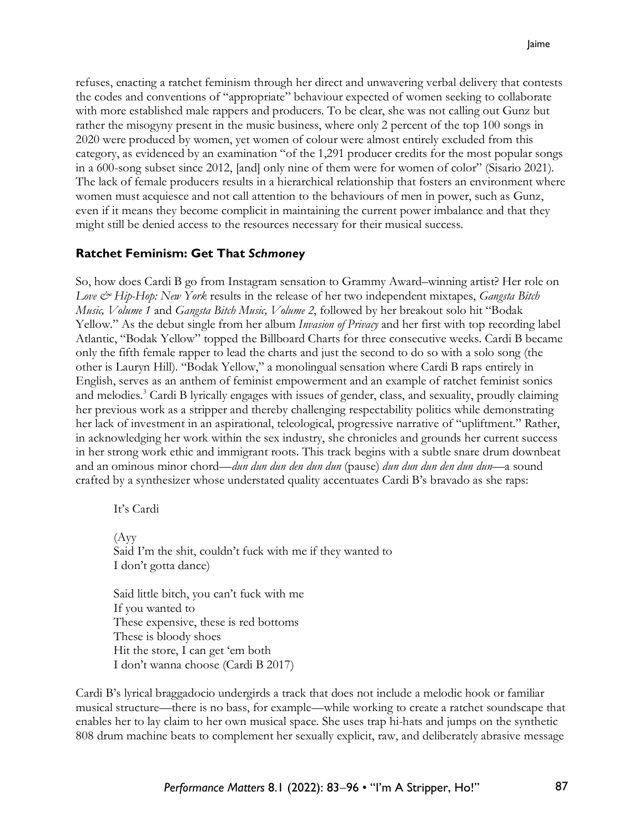refuses, enacting a ratchet feminism through her direct and unwavering verbal delivery that contests the codes and conventions of "appropriate" behaviour expected of women seeking to collaborate with more established male rappers and producers. To be clear, she was not calling out Gunz but rather the misogyny present in the music business, where only 2 percent of the top 100 songs in 2020 were produced by women, yet women of colour were almost entirely excluded from this category, as evidenced by an examination "of the 1,291 producer credits for the most popular songs in a 600-song subset since 2012, [and] only nine of them were for women of color" (Sisario 2021). The lack of female producers results in a hierarchical relationship that fosters an environment where women must acquiesce and not call attention to the behaviours of men in power, such as Gunz, even if it means they become complicit in maintaining the current power imbalance and that they might still be denied access to the resources necessary for their musical success.

#### **Ratchet Feminism: Get That** *Schmoney*

So, how does Cardi B go from Instagram sensation to Grammy Award–winning artist? Her role on *Love & Hip-Hop: New York* results in the release of her two independent mixtapes, *Gangsta Bitch Music, Volume 1* and *Gangsta Bitch Music, Volume 2*, followed by her breakout solo hit "Bodak Yellow." As the debut single from her album *Invasion of Privacy* and her first with top recording label Atlantic, "Bodak Yellow" topped the Billboard Charts for three consecutive weeks. Cardi B became only the fifth female rapper to lead the charts and just the second to do so with a solo song (the other is Lauryn Hill). "Bodak Yellow," a monolingual sensation where Cardi B raps entirely in English, serves as an anthem of feminist empowerment and an example of ratchet feminist sonics and melodies.<sup>3</sup> Cardi B lyrically engages with issues of gender, class, and sexuality, proudly claiming her previous work as a stripper and thereby challenging respectability politics while demonstrating her lack of investment in an aspirational, teleological, progressive narrative of "upliftment." Rather, in acknowledging her work within the sex industry, she chronicles and grounds her current success in her strong work ethic and immigrant roots. This track begins with a subtle snare drum downbeat and an ominous minor chord—*dun dun dun den dun dun* (pause) *dun dun dun den dun dun*—a sound crafted by a synthesizer whose understated quality accentuates Cardi B's bravado as she raps:

It's Cardi

(Ayy Said I'm the shit, couldn't fuck with me if they wanted to I don't gotta dance)

Said little bitch, you can't fuck with me If you wanted to These expensive, these is red bottoms These is bloody shoes Hit the store, I can get 'em both I don't wanna choose (Cardi B 2017)

Cardi B's lyrical braggadocio undergirds a track that does not include a melodic hook or familiar musical structure—there is no bass, for example—while working to create a ratchet soundscape that enables her to lay claim to her own musical space. She uses trap hi-hats and jumps on the synthetic 808 drum machine beats to complement her sexually explicit, raw, and deliberately abrasive message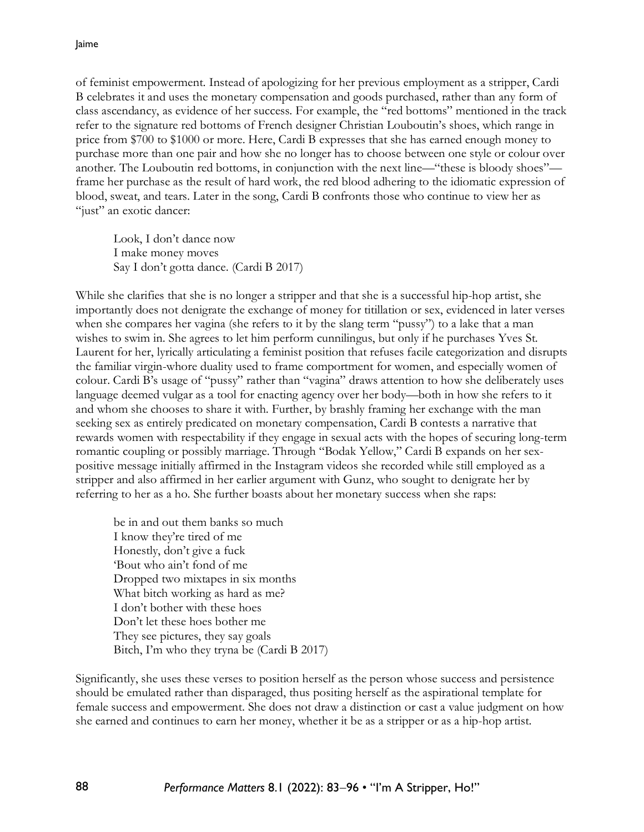of feminist empowerment. Instead of apologizing for her previous employment as a stripper, Cardi B celebrates it and uses the monetary compensation and goods purchased, rather than any form of class ascendancy, as evidence of her success. For example, the "red bottoms" mentioned in the track refer to the signature red bottoms of French designer Christian Louboutin's shoes, which range in price from \$700 to \$1000 or more. Here, Cardi B expresses that she has earned enough money to purchase more than one pair and how she no longer has to choose between one style or colour over another. The Louboutin red bottoms, in conjunction with the next line—"these is bloody shoes" frame her purchase as the result of hard work, the red blood adhering to the idiomatic expression of blood, sweat, and tears. Later in the song, Cardi B confronts those who continue to view her as "just" an exotic dancer:

Look, I don't dance now I make money moves Say I don't gotta dance. (Cardi B 2017)

While she clarifies that she is no longer a stripper and that she is a successful hip-hop artist, she importantly does not denigrate the exchange of money for titillation or sex, evidenced in later verses when she compares her vagina (she refers to it by the slang term "pussy") to a lake that a man wishes to swim in. She agrees to let him perform cunnilingus, but only if he purchases Yves St. Laurent for her, lyrically articulating a feminist position that refuses facile categorization and disrupts the familiar virgin-whore duality used to frame comportment for women, and especially women of colour. Cardi B's usage of "pussy" rather than "vagina" draws attention to how she deliberately uses language deemed vulgar as a tool for enacting agency over her body—both in how she refers to it and whom she chooses to share it with. Further, by brashly framing her exchange with the man seeking sex as entirely predicated on monetary compensation, Cardi B contests a narrative that rewards women with respectability if they engage in sexual acts with the hopes of securing long-term romantic coupling or possibly marriage. Through "Bodak Yellow," Cardi B expands on her sexpositive message initially affirmed in the Instagram videos she recorded while still employed as a stripper and also affirmed in her earlier argument with Gunz, who sought to denigrate her by referring to her as a ho. She further boasts about her monetary success when she raps:

be in and out them banks so much I know they're tired of me Honestly, don't give a fuck 'Bout who ain't fond of me Dropped two mixtapes in six months What bitch working as hard as me? I don't bother with these hoes Don't let these hoes bother me They see pictures, they say goals Bitch, I'm who they tryna be (Cardi B 2017)

Significantly, she uses these verses to position herself as the person whose success and persistence should be emulated rather than disparaged, thus positing herself as the aspirational template for female success and empowerment. She does not draw a distinction or cast a value judgment on how she earned and continues to earn her money, whether it be as a stripper or as a hip-hop artist.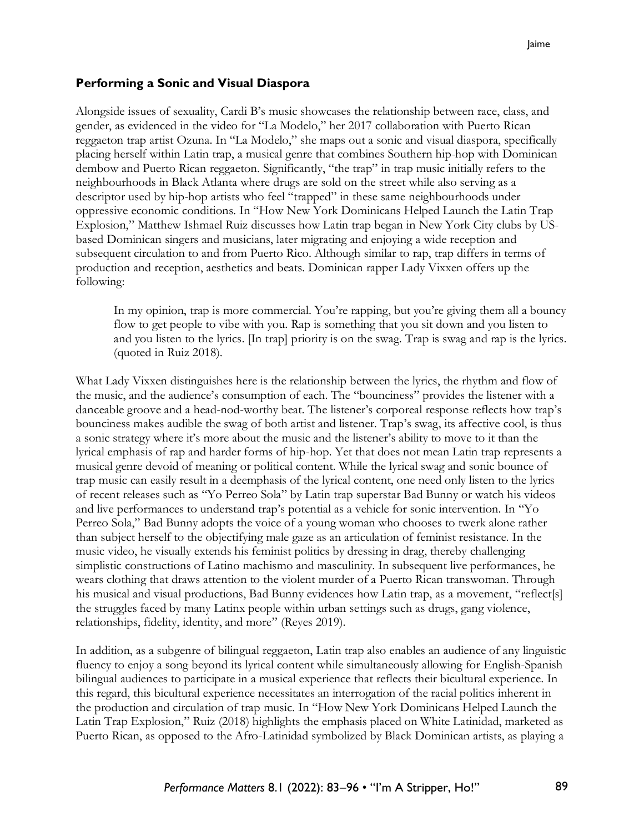### **Performing a Sonic and Visual Diaspora**

Alongside issues of sexuality, Cardi B's music showcases the relationship between race, class, and gender, as evidenced in the video for "La Modelo," her 2017 collaboration with Puerto Rican reggaeton trap artist Ozuna. In "La Modelo," she maps out a sonic and visual diaspora, specifically placing herself within Latin trap, a musical genre that combines Southern hip-hop with Dominican dembow and Puerto Rican reggaeton. Significantly, "the trap" in trap music initially refers to the neighbourhoods in Black Atlanta where drugs are sold on the street while also serving as a descriptor used by hip-hop artists who feel "trapped" in these same neighbourhoods under oppressive economic conditions. In "How New York Dominicans Helped Launch the Latin Trap Explosion," Matthew Ishmael Ruiz discusses how Latin trap began in New York City clubs by USbased Dominican singers and musicians, later migrating and enjoying a wide reception and subsequent circulation to and from Puerto Rico. Although similar to rap, trap differs in terms of production and reception, aesthetics and beats. Dominican rapper Lady Vixxen offers up the following:

In my opinion, trap is more commercial. You're rapping, but you're giving them all a bouncy flow to get people to vibe with you. Rap is something that you sit down and you listen to and you listen to the lyrics. [In trap] priority is on the swag. Trap is swag and rap is the lyrics. (quoted in Ruiz 2018).

What Lady Vixxen distinguishes here is the relationship between the lyrics, the rhythm and flow of the music, and the audience's consumption of each. The "bounciness" provides the listener with a danceable groove and a head-nod-worthy beat. The listener's corporeal response reflects how trap's bounciness makes audible the swag of both artist and listener. Trap's swag, its affective cool, is thus a sonic strategy where it's more about the music and the listener's ability to move to it than the lyrical emphasis of rap and harder forms of hip-hop. Yet that does not mean Latin trap represents a musical genre devoid of meaning or political content. While the lyrical swag and sonic bounce of trap music can easily result in a deemphasis of the lyrical content, one need only listen to the lyrics of recent releases such as "Yo Perreo Sola" by Latin trap superstar Bad Bunny or watch his videos and live performances to understand trap's potential as a vehicle for sonic intervention. In "Yo Perreo Sola," Bad Bunny adopts the voice of a young woman who chooses to twerk alone rather than subject herself to the objectifying male gaze as an articulation of feminist resistance. In the music video, he visually extends his feminist politics by dressing in drag, thereby challenging simplistic constructions of Latino machismo and masculinity. In subsequent live performances, he wears clothing that draws attention to the violent murder of a Puerto Rican transwoman. Through his musical and visual productions, Bad Bunny evidences how Latin trap, as a movement, "reflect[s] the struggles faced by many Latinx people within urban settings such as drugs, gang violence, relationships, fidelity, identity, and more" (Reyes 2019).

In addition, as a subgenre of bilingual reggaeton, Latin trap also enables an audience of any linguistic fluency to enjoy a song beyond its lyrical content while simultaneously allowing for English-Spanish bilingual audiences to participate in a musical experience that reflects their bicultural experience. In this regard, this bicultural experience necessitates an interrogation of the racial politics inherent in the production and circulation of trap music. In "How New York Dominicans Helped Launch the Latin Trap Explosion," Ruiz (2018) highlights the emphasis placed on White Latinidad, marketed as Puerto Rican, as opposed to the Afro-Latinidad symbolized by Black Dominican artists, as playing a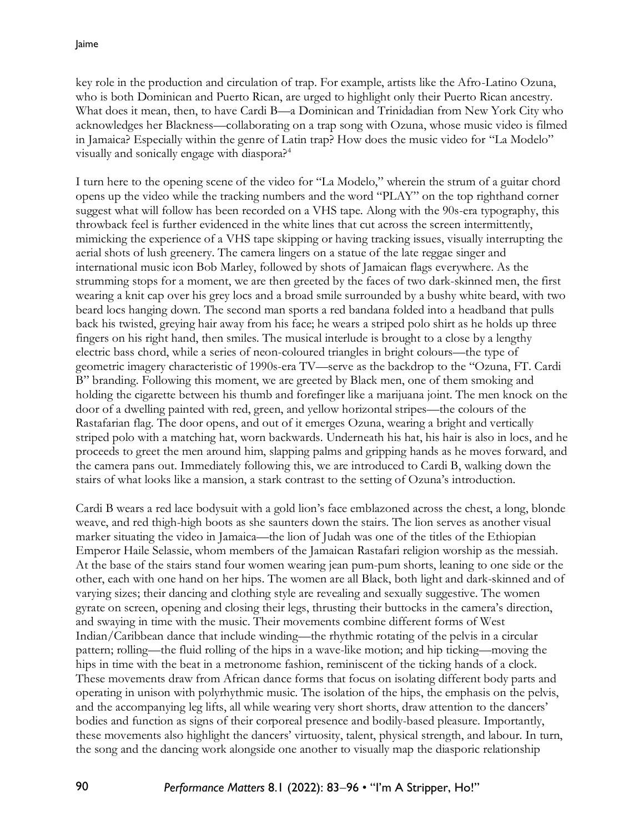key role in the production and circulation of trap. For example, artists like the Afro-Latino Ozuna, who is both Dominican and Puerto Rican, are urged to highlight only their Puerto Rican ancestry. What does it mean, then, to have Cardi B—a Dominican and Trinidadian from New York City who acknowledges her Blackness—collaborating on a trap song with Ozuna, whose music video is filmed in Jamaica? Especially within the genre of Latin trap? How does the music video for "La Modelo" visually and sonically engage with diaspora?<sup>4</sup>

I turn here to the opening scene of the video for "La Modelo," wherein the strum of a guitar chord opens up the video while the tracking numbers and the word "PLAY" on the top righthand corner suggest what will follow has been recorded on a VHS tape. Along with the 90s-era typography, this throwback feel is further evidenced in the white lines that cut across the screen intermittently, mimicking the experience of a VHS tape skipping or having tracking issues, visually interrupting the aerial shots of lush greenery. The camera lingers on a statue of the late reggae singer and international music icon Bob Marley, followed by shots of Jamaican flags everywhere. As the strumming stops for a moment, we are then greeted by the faces of two dark-skinned men, the first wearing a knit cap over his grey locs and a broad smile surrounded by a bushy white beard, with two beard locs hanging down. The second man sports a red bandana folded into a headband that pulls back his twisted, greying hair away from his face; he wears a striped polo shirt as he holds up three fingers on his right hand, then smiles. The musical interlude is brought to a close by a lengthy electric bass chord, while a series of neon-coloured triangles in bright colours—the type of geometric imagery characteristic of 1990s-era TV*—*serve as the backdrop to the "Ozuna, FT. Cardi B" branding. Following this moment, we are greeted by Black men, one of them smoking and holding the cigarette between his thumb and forefinger like a marijuana joint. The men knock on the door of a dwelling painted with red, green, and yellow horizontal stripes—the colours of the Rastafarian flag. The door opens, and out of it emerges Ozuna, wearing a bright and vertically striped polo with a matching hat, worn backwards. Underneath his hat, his hair is also in locs, and he proceeds to greet the men around him, slapping palms and gripping hands as he moves forward, and the camera pans out. Immediately following this, we are introduced to Cardi B, walking down the stairs of what looks like a mansion, a stark contrast to the setting of Ozuna's introduction.

Cardi B wears a red lace bodysuit with a gold lion's face emblazoned across the chest, a long, blonde weave, and red thigh-high boots as she saunters down the stairs. The lion serves as another visual marker situating the video in Jamaica—the lion of Judah was one of the titles of the Ethiopian Emperor Haile Selassie, whom members of the Jamaican Rastafari religion worship as the messiah. At the base of the stairs stand four women wearing jean pum-pum shorts, leaning to one side or the other, each with one hand on her hips. The women are all Black, both light and dark-skinned and of varying sizes; their dancing and clothing style are revealing and sexually suggestive. The women gyrate on screen, opening and closing their legs, thrusting their buttocks in the camera's direction, and swaying in time with the music. Their movements combine different forms of West Indian/Caribbean dance that include winding—the rhythmic rotating of the pelvis in a circular pattern; rolling—the fluid rolling of the hips in a wave-like motion; and hip ticking—moving the hips in time with the beat in a metronome fashion, reminiscent of the ticking hands of a clock. These movements draw from African dance forms that focus on isolating different body parts and operating in unison with polyrhythmic music. The isolation of the hips, the emphasis on the pelvis, and the accompanying leg lifts, all while wearing very short shorts, draw attention to the dancers' bodies and function as signs of their corporeal presence and bodily-based pleasure. Importantly, these movements also highlight the dancers' virtuosity, talent, physical strength, and labour. In turn, the song and the dancing work alongside one another to visually map the diasporic relationship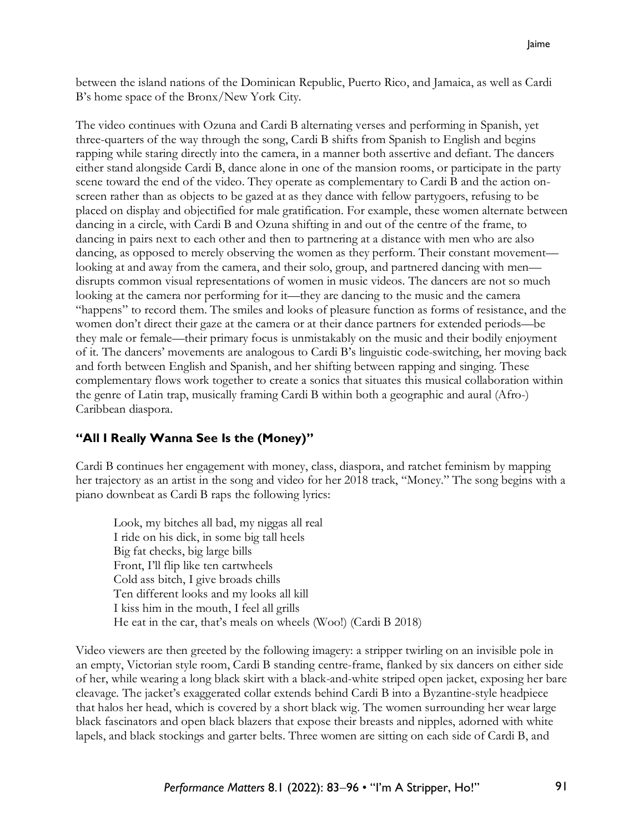between the island nations of the Dominican Republic, Puerto Rico, and Jamaica, as well as Cardi B's home space of the Bronx/New York City.

The video continues with Ozuna and Cardi B alternating verses and performing in Spanish, yet three-quarters of the way through the song, Cardi B shifts from Spanish to English and begins rapping while staring directly into the camera, in a manner both assertive and defiant. The dancers either stand alongside Cardi B, dance alone in one of the mansion rooms, or participate in the party scene toward the end of the video. They operate as complementary to Cardi B and the action onscreen rather than as objects to be gazed at as they dance with fellow partygoers, refusing to be placed on display and objectified for male gratification. For example, these women alternate between dancing in a circle, with Cardi B and Ozuna shifting in and out of the centre of the frame, to dancing in pairs next to each other and then to partnering at a distance with men who are also dancing, as opposed to merely observing the women as they perform. Their constant movement looking at and away from the camera, and their solo, group, and partnered dancing with men disrupts common visual representations of women in music videos. The dancers are not so much looking at the camera nor performing for it—they are dancing to the music and the camera "happens" to record them. The smiles and looks of pleasure function as forms of resistance, and the women don't direct their gaze at the camera or at their dance partners for extended periods—be they male or female—their primary focus is unmistakably on the music and their bodily enjoyment of it. The dancers' movements are analogous to Cardi B's linguistic code-switching, her moving back and forth between English and Spanish, and her shifting between rapping and singing. These complementary flows work together to create a sonics that situates this musical collaboration within the genre of Latin trap, musically framing Cardi B within both a geographic and aural (Afro-) Caribbean diaspora.

## **"All I Really Wanna See Is the (Money)"**

Cardi B continues her engagement with money, class, diaspora, and ratchet feminism by mapping her trajectory as an artist in the song and video for her 2018 track, "Money." The song begins with a piano downbeat as Cardi B raps the following lyrics:

Look, my bitches all bad, my niggas all real I ride on his dick, in some big tall heels Big fat checks, big large bills Front, I'll flip like ten cartwheels Cold ass bitch, I give broads chills Ten different looks and my looks all kill I kiss him in the mouth, I feel all grills He eat in the car, that's meals on wheels (Woo!) (Cardi B 2018)

Video viewers are then greeted by the following imagery: a stripper twirling on an invisible pole in an empty, Victorian style room, Cardi B standing centre-frame, flanked by six dancers on either side of her, while wearing a long black skirt with a black-and-white striped open jacket, exposing her bare cleavage. The jacket's exaggerated collar extends behind Cardi B into a Byzantine-style headpiece that halos her head, which is covered by a short black wig. The women surrounding her wear large black fascinators and open black blazers that expose their breasts and nipples, adorned with white lapels, and black stockings and garter belts. Three women are sitting on each side of Cardi B, and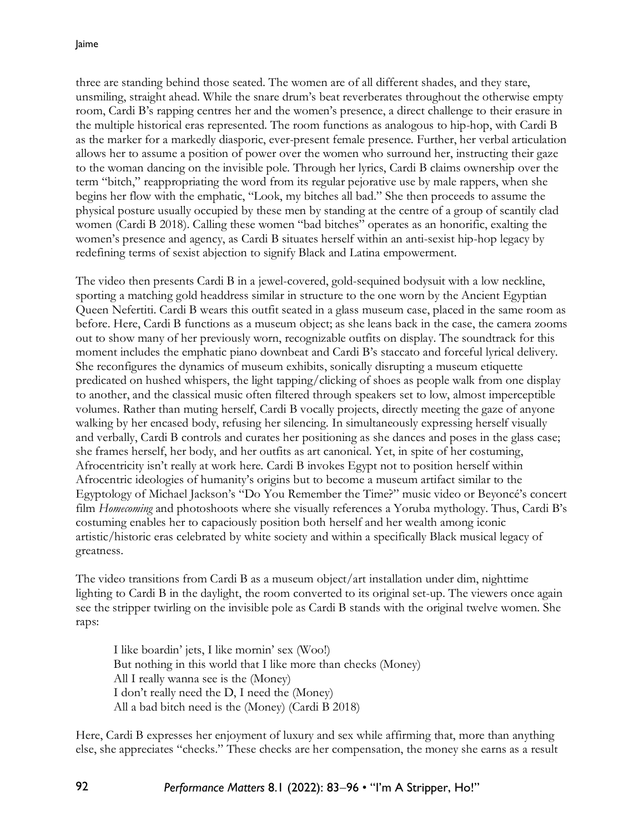Jaime

three are standing behind those seated. The women are of all different shades, and they stare, unsmiling, straight ahead. While the snare drum's beat reverberates throughout the otherwise empty room, Cardi B's rapping centres her and the women's presence, a direct challenge to their erasure in the multiple historical eras represented. The room functions as analogous to hip-hop, with Cardi B as the marker for a markedly diasporic, ever-present female presence. Further, her verbal articulation allows her to assume a position of power over the women who surround her, instructing their gaze to the woman dancing on the invisible pole. Through her lyrics, Cardi B claims ownership over the term "bitch," reappropriating the word from its regular pejorative use by male rappers, when she begins her flow with the emphatic, "Look, my bitches all bad." She then proceeds to assume the physical posture usually occupied by these men by standing at the centre of a group of scantily clad women (Cardi B 2018). Calling these women "bad bitches" operates as an honorific, exalting the women's presence and agency, as Cardi B situates herself within an anti-sexist hip-hop legacy by redefining terms of sexist abjection to signify Black and Latina empowerment.

The video then presents Cardi B in a jewel-covered, gold-sequined bodysuit with a low neckline, sporting a matching gold headdress similar in structure to the one worn by the Ancient Egyptian Queen Nefertiti. Cardi B wears this outfit seated in a glass museum case, placed in the same room as before. Here, Cardi B functions as a museum object; as she leans back in the case, the camera zooms out to show many of her previously worn, recognizable outfits on display. The soundtrack for this moment includes the emphatic piano downbeat and Cardi B's staccato and forceful lyrical delivery. She reconfigures the dynamics of museum exhibits, sonically disrupting a museum etiquette predicated on hushed whispers, the light tapping/clicking of shoes as people walk from one display to another, and the classical music often filtered through speakers set to low, almost imperceptible volumes. Rather than muting herself, Cardi B vocally projects, directly meeting the gaze of anyone walking by her encased body, refusing her silencing. In simultaneously expressing herself visually and verbally, Cardi B controls and curates her positioning as she dances and poses in the glass case; she frames herself, her body, and her outfits as art canonical. Yet, in spite of her costuming, Afrocentricity isn't really at work here. Cardi B invokes Egypt not to position herself within Afrocentric ideologies of humanity's origins but to become a museum artifact similar to the Egyptology of Michael Jackson's "Do You Remember the Time?" music video or Beyoncé's concert film *Homecoming* and photoshoots where she visually references a Yoruba mythology. Thus, Cardi B's costuming enables her to capaciously position both herself and her wealth among iconic artistic/historic eras celebrated by white society and within a specifically Black musical legacy of greatness.

The video transitions from Cardi B as a museum object/art installation under dim, nighttime lighting to Cardi B in the daylight, the room converted to its original set-up. The viewers once again see the stripper twirling on the invisible pole as Cardi B stands with the original twelve women. She raps:

I like boardin' jets, I like mornin' sex (Woo!) But nothing in this world that I like more than checks (Money) All I really wanna see is the (Money) I don't really need the D, I need the (Money) All a bad bitch need is the (Money) (Cardi B 2018)

Here, Cardi B expresses her enjoyment of luxury and sex while affirming that, more than anything else, she appreciates "checks." These checks are her compensation, the money she earns as a result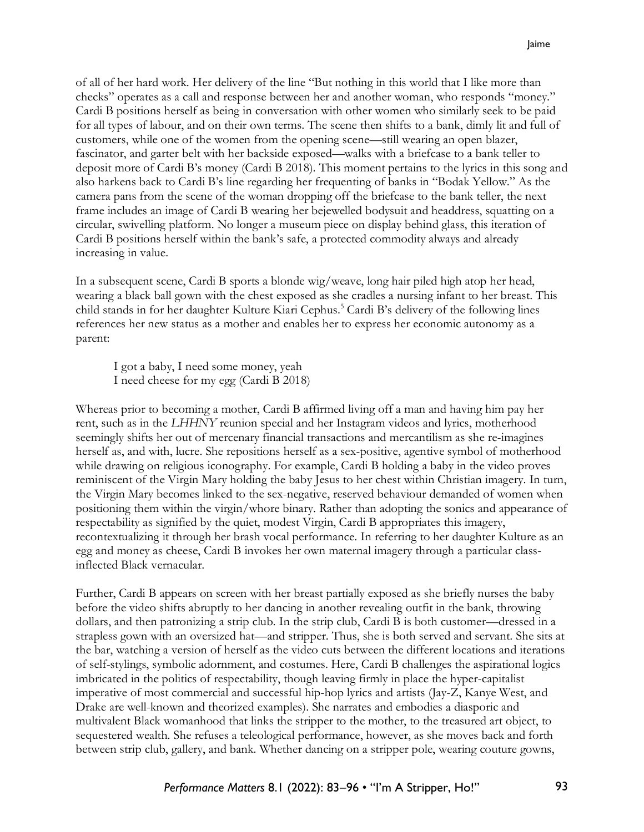of all of her hard work. Her delivery of the line "But nothing in this world that I like more than checks" operates as a call and response between her and another woman, who responds "money." Cardi B positions herself as being in conversation with other women who similarly seek to be paid for all types of labour, and on their own terms. The scene then shifts to a bank, dimly lit and full of customers, while one of the women from the opening scene—still wearing an open blazer, fascinator, and garter belt with her backside exposed—walks with a briefcase to a bank teller to deposit more of Cardi B's money (Cardi B 2018). This moment pertains to the lyrics in this song and also harkens back to Cardi B's line regarding her frequenting of banks in "Bodak Yellow." As the camera pans from the scene of the woman dropping off the briefcase to the bank teller, the next frame includes an image of Cardi B wearing her bejewelled bodysuit and headdress, squatting on a circular, swivelling platform. No longer a museum piece on display behind glass, this iteration of Cardi B positions herself within the bank's safe, a protected commodity always and already increasing in value.

In a subsequent scene, Cardi B sports a blonde wig/weave, long hair piled high atop her head, wearing a black ball gown with the chest exposed as she cradles a nursing infant to her breast. This child stands in for her daughter Kulture Kiari Cephus.<sup>5</sup> Cardi B's delivery of the following lines references her new status as a mother and enables her to express her economic autonomy as a parent:

I got a baby, I need some money, yeah I need cheese for my egg (Cardi B 2018)

Whereas prior to becoming a mother, Cardi B affirmed living off a man and having him pay her rent, such as in the *LHHNY* reunion special and her Instagram videos and lyrics, motherhood seemingly shifts her out of mercenary financial transactions and mercantilism as she re-imagines herself as, and with, lucre. She repositions herself as a sex-positive, agentive symbol of motherhood while drawing on religious iconography. For example, Cardi B holding a baby in the video proves reminiscent of the Virgin Mary holding the baby Jesus to her chest within Christian imagery. In turn, the Virgin Mary becomes linked to the sex-negative, reserved behaviour demanded of women when positioning them within the virgin/whore binary. Rather than adopting the sonics and appearance of respectability as signified by the quiet, modest Virgin, Cardi B appropriates this imagery, recontextualizing it through her brash vocal performance. In referring to her daughter Kulture as an egg and money as cheese, Cardi B invokes her own maternal imagery through a particular classinflected Black vernacular.

Further, Cardi B appears on screen with her breast partially exposed as she briefly nurses the baby before the video shifts abruptly to her dancing in another revealing outfit in the bank, throwing dollars, and then patronizing a strip club. In the strip club, Cardi B is both customer—dressed in a strapless gown with an oversized hat—and stripper. Thus, she is both served and servant. She sits at the bar, watching a version of herself as the video cuts between the different locations and iterations of self-stylings, symbolic adornment, and costumes. Here, Cardi B challenges the aspirational logics imbricated in the politics of respectability, though leaving firmly in place the hyper-capitalist imperative of most commercial and successful hip-hop lyrics and artists (Jay-Z, Kanye West, and Drake are well-known and theorized examples). She narrates and embodies a diasporic and multivalent Black womanhood that links the stripper to the mother, to the treasured art object, to sequestered wealth. She refuses a teleological performance, however, as she moves back and forth between strip club, gallery, and bank. Whether dancing on a stripper pole, wearing couture gowns,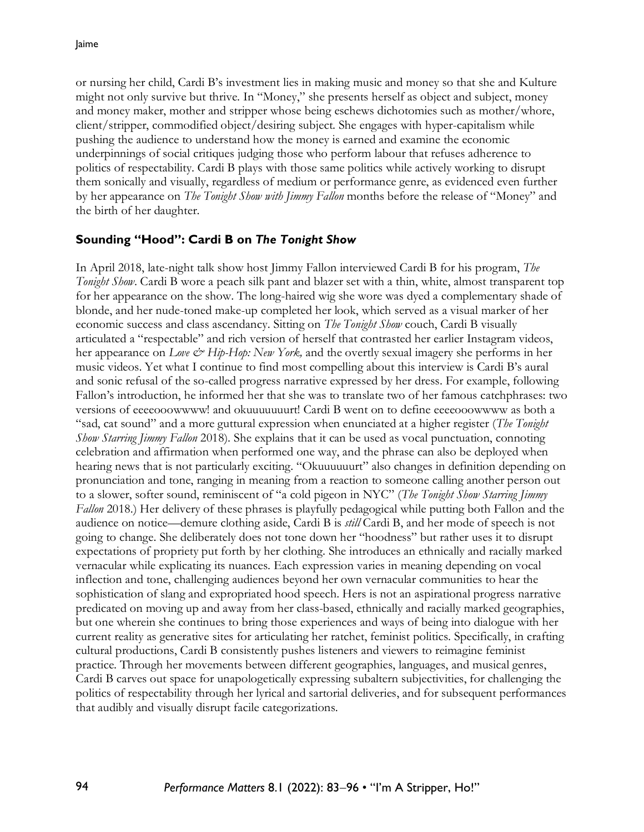or nursing her child, Cardi B's investment lies in making music and money so that she and Kulture might not only survive but thrive. In "Money," she presents herself as object and subject, money and money maker, mother and stripper whose being eschews dichotomies such as mother/whore, client/stripper, commodified object/desiring subject. She engages with hyper-capitalism while pushing the audience to understand how the money is earned and examine the economic underpinnings of social critiques judging those who perform labour that refuses adherence to politics of respectability. Cardi B plays with those same politics while actively working to disrupt them sonically and visually, regardless of medium or performance genre, as evidenced even further by her appearance on *The Tonight Show with Jimmy Fallon* months before the release of "Money" and the birth of her daughter.

## **Sounding "Hood": Cardi B on** *The Tonight Show*

In April 2018, late-night talk show host Jimmy Fallon interviewed Cardi B for his program, *The Tonight Show*. Cardi B wore a peach silk pant and blazer set with a thin, white, almost transparent top for her appearance on the show. The long-haired wig she wore was dyed a complementary shade of blonde, and her nude-toned make-up completed her look, which served as a visual marker of her economic success and class ascendancy. Sitting on *The Tonight Show* couch, Cardi B visually articulated a "respectable" and rich version of herself that contrasted her earlier Instagram videos, her appearance on *Love & Hip-Hop: New York,* and the overtly sexual imagery she performs in her music videos. Yet what I continue to find most compelling about this interview is Cardi B's aural and sonic refusal of the so-called progress narrative expressed by her dress. For example, following Fallon's introduction, he informed her that she was to translate two of her famous catchphrases: two versions of eeeeooowwww! and okuuuuuuurt! Cardi B went on to define eeeeooowwww as both a "sad, cat sound" and a more guttural expression when enunciated at a higher register (*The Tonight Show Starring Jimmy Fallon* 2018). She explains that it can be used as vocal punctuation, connoting celebration and affirmation when performed one way, and the phrase can also be deployed when hearing news that is not particularly exciting. "Okuuuuuurt" also changes in definition depending on pronunciation and tone, ranging in meaning from a reaction to someone calling another person out to a slower, softer sound, reminiscent of "a cold pigeon in NYC" (*The Tonight Show Starring Jimmy Fallon* 2018.) Her delivery of these phrases is playfully pedagogical while putting both Fallon and the audience on notice—demure clothing aside, Cardi B is *still* Cardi B, and her mode of speech is not going to change. She deliberately does not tone down her "hoodness" but rather uses it to disrupt expectations of propriety put forth by her clothing. She introduces an ethnically and racially marked vernacular while explicating its nuances. Each expression varies in meaning depending on vocal inflection and tone, challenging audiences beyond her own vernacular communities to hear the sophistication of slang and expropriated hood speech. Hers is not an aspirational progress narrative predicated on moving up and away from her class-based, ethnically and racially marked geographies, but one wherein she continues to bring those experiences and ways of being into dialogue with her current reality as generative sites for articulating her ratchet, feminist politics. Specifically, in crafting cultural productions, Cardi B consistently pushes listeners and viewers to reimagine feminist practice. Through her movements between different geographies, languages, and musical genres, Cardi B carves out space for unapologetically expressing subaltern subjectivities, for challenging the politics of respectability through her lyrical and sartorial deliveries, and for subsequent performances that audibly and visually disrupt facile categorizations.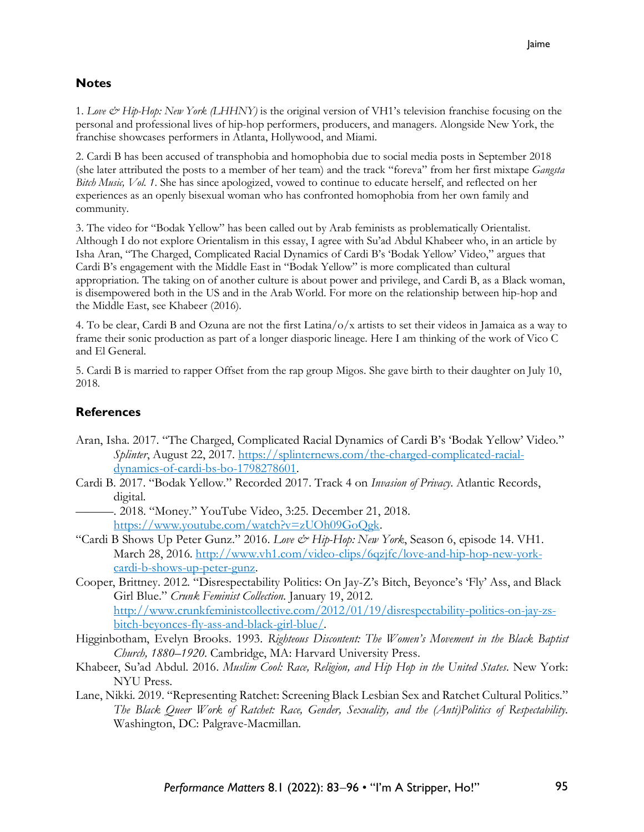### **Notes**

1. *Love & Hip-Hop: New York (LHHNY)* is the original version of VH1's television franchise focusing on the personal and professional lives of hip-hop performers, producers, and managers. Alongside New York, the franchise showcases performers in Atlanta, Hollywood, and Miami.

2. Cardi B has been accused of transphobia and homophobia due to social media posts in September 2018 (she later attributed the posts to a member of her team) and the track "foreva" from her first mixtape *Gangsta Bitch Music, Vol. 1*. She has since apologized, vowed to continue to educate herself, and reflected on her experiences as an openly bisexual woman who has confronted homophobia from her own family and community.

3. The video for "Bodak Yellow" has been called out by Arab feminists as problematically Orientalist. Although I do not explore Orientalism in this essay, I agree with Su'ad Abdul Khabeer who, in an article by Isha Aran, "The Charged, Complicated Racial Dynamics of Cardi B's 'Bodak Yellow' Video," argues that Cardi B's engagement with the Middle East in "Bodak Yellow" is more complicated than cultural appropriation. The taking on of another culture is about power and privilege, and Cardi B, as a Black woman, is disempowered both in the US and in the Arab World. For more on the relationship between hip-hop and the Middle East, see Khabeer (2016).

4. To be clear, Cardi B and Ozuna are not the first Latina/o/x artists to set their videos in Jamaica as a way to frame their sonic production as part of a longer diasporic lineage. Here I am thinking of the work of Vico C and El General.

5. Cardi B is married to rapper Offset from the rap group Migos. She gave birth to their daughter on July 10, 2018.

### **References**

- Aran, Isha. 2017. "The Charged, Complicated Racial Dynamics of Cardi B's 'Bodak Yellow' Video." *Splinter*, August 22, 2017. [https://splinternews.com/the-charged-complicated-racial](https://splinternews.com/the-charged-complicated-racial-dynamics-of-cardi-bs-bo-1798278601)[dynamics-of-cardi-bs-bo-1798278601.](https://splinternews.com/the-charged-complicated-racial-dynamics-of-cardi-bs-bo-1798278601)
- Cardi B. 2017. "Bodak Yellow." Recorded 2017. Track 4 on *Invasion of Privacy*. Atlantic Records, digital.
	- ———. 2018. "Money." YouTube Video, 3:25. December 21, 2018. [https://www.youtube.com/watch?v=zUOh09GoQgk.](https://www.youtube.com/watch?v=zUOh09GoQgk)
- "Cardi B Shows Up Peter Gunz." 2016. *Love & Hip-Hop: New York*, Season 6, episode 14. VH1. March 28, 2016. [http://www.vh1.com/video-clips/6qzjfc/love-and-hip-hop-new-york](http://www.vh1.com/video-clips/6qzjfc/love-and-hip-hop-new-york-cardi-b-shows-up-peter-gunz)[cardi-b-shows-up-peter-gunz.](http://www.vh1.com/video-clips/6qzjfc/love-and-hip-hop-new-york-cardi-b-shows-up-peter-gunz)
- Cooper, Brittney. 2012. "Disrespectability Politics: On Jay-Z's Bitch, Beyonce's 'Fly' Ass, and Black Girl Blue." *Crunk Feminist Collection*. January 19, 2012. [http://www.crunkfeministcollective.com/2012/01/19/disrespectability-politics-on-jay-zs](http://www.crunkfeministcollective.com/2012/01/19/disrespectability-politics-on-jay-zs-bitch-beyonces-fly-ass-and-black-girl-blue/)[bitch-beyonces-fly-ass-and-black-girl-blue/.](http://www.crunkfeministcollective.com/2012/01/19/disrespectability-politics-on-jay-zs-bitch-beyonces-fly-ass-and-black-girl-blue/)
- Higginbotham, Evelyn Brooks. 1993. *Righteous Discontent: The Women's Movement in the Black Baptist Church, 1880–1920*. Cambridge, MA: Harvard University Press.
- Khabeer, Su'ad Abdul. 2016. *Muslim Cool: Race, Religion, and Hip Hop in the United States*. New York: NYU Press.
- Lane, Nikki. 2019. "Representing Ratchet: Screening Black Lesbian Sex and Ratchet Cultural Politics." *The Black Queer Work of Ratchet: Race, Gender, Sexuality, and the (Anti)Politics of Respectability.* Washington, DC: Palgrave-Macmillan.